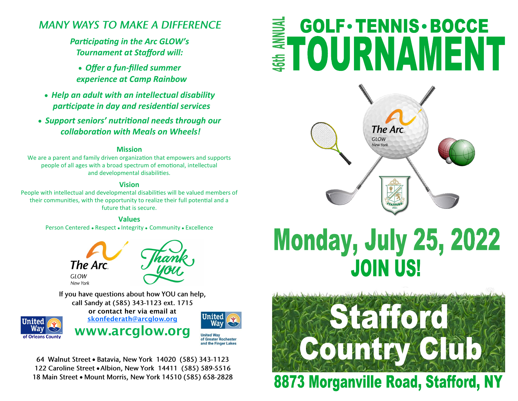## **MANY WAYS TO MAKE A DIFFERENCE**

## *Participating in the Arc GLOW's Tournament at Stafford will:*

- *Offer a fun-filled summer experience at Camp Rainbow*
- *Help an adult with an intellectual disability participate in day and residential services*
- *Support seniors' nutritional needs through our collaboration with Meals on Wheels!*

### **Mission**

We are a parent and family driven organization that empowers and supports people of all ages with a broad spectrum of emotional, intellectual and developmental disabilities.

#### **Vision**

People with intellectual and developmental disabilities will be valued members of their communities, with the opportunity to realize their full potential and a future that is secure.

#### **Values**

Person Centered ⚫ Respect ⚫ Integrity ⚫ Community ⚫ Excellence



If you have questions about how YOU can help, call Sandy at (585) 343-1123 ext. 1715



or contact her via email at [skonfederath@arcglow.org](mailto:skonfederath@arcglow.org) www.arcglow.org



and the Finger Lakes

64 Walnut Street • Batavia, New York 14020 (585) 343-1123 122 Caroline Street . Albion, New York 14411 (585) 589-5516 18 Main Street . Mount Morris, New York 14510 (585) 658-2828

# **GOLF · TENNIS · BOCCE** E TOURNAMENT



# **Monday, July 25, 2022 JOIN US!**



8873 Morganville Road, Stafford, NY